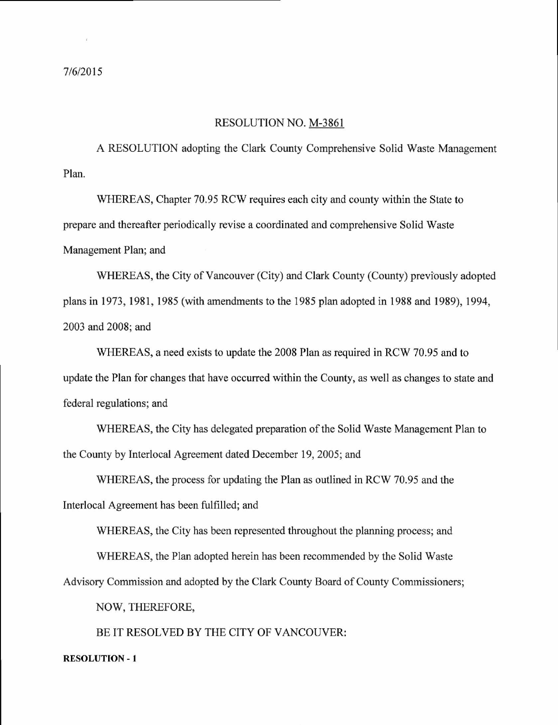## RESOLUTION NO. M-3861

A RESOLUTION adopting the Clark County Comprehensive Solid Waste Management Plan.

WHEREAS, Chapter 70.95 RCW requires each city and county within the State to prepare and thereafter periodically revise a coordinated and comprehensive Solid Waste Management Plan; and

WHEREAS, the City of Vancouver (City) and Clark County (County) previously adopted plans in 1973, 1981, 1985 (with amendments to the 1985 plan adopted in 1988 and 1989), 1994, 2003 and 2008; and

WHEREAS, a need exists to update the 2008 Plan as required in RCW 70.95 and to update the Plan for changes that have occurred within the County, as well as changes to state and federal regulations; and

WHEREAS, the City has delegated preparation of the Solid Waste Management Plan to the County by Interlocal Agreement dated December 19, 2005; and

WHEREAS, the process for updating the Plan as outlined in RCW 70.95 and the Interlocal Agreement has been fulfilled; and

WHEREAS, the City has been represented throughout the planning process; and

WHEREAS, the Plan adopted herein has been recommended by the Solid Waste

Advisory Commission and adopted by the Clark County Board of County Commissioners;

NOW, THEREFORE,

BE IT RESOLVED BY THE CITY OF VANCOUVER:

## RESOLUTION - 1